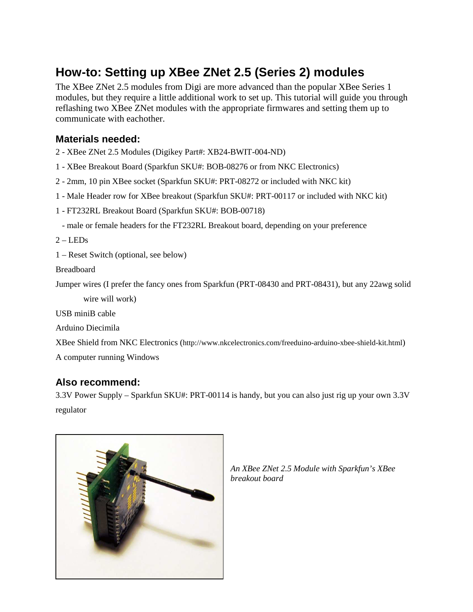# **How-to: Setting up XBee ZNet 2.5 (Series 2) modules**

The XBee ZNet 2.5 modules from Digi are more advanced than the popular XBee Series 1 modules, but they require a little additional work to set up. This tutorial will guide you through reflashing two XBee ZNet modules with the appropriate firmwares and setting them up to communicate with eachother.

#### **Materials needed:**

- 2 XBee ZNet 2.5 Modules (Digikey Part#: XB24-BWIT-004-ND)
- 1 XBee Breakout Board (Sparkfun SKU#: BOB-08276 or from NKC Electronics)
- 2 2mm, 10 pin XBee socket (Sparkfun SKU#: PRT-08272 or included with NKC kit)
- 1 Male Header row for XBee breakout (Sparkfun SKU#: PRT-00117 or included with NKC kit)
- 1 FT232RL Breakout Board (Sparkfun SKU#: BOB-00718)
- male or female headers for the FT232RL Breakout board, depending on your preference

 $2 - LEDs$ 

1 – Reset Switch (optional, see below)

Breadboard

Jumper wires (I prefer the fancy ones from Sparkfun (PRT-08430 and PRT-08431), but any 22awg solid wire will work)

USB miniB cable

Arduino Diecimila

XBee Shield from NKC Electronics (http://www.nkcelectronics.com/freeduino-arduino-xbee-shield-kit.html) A computer running Windows

#### **Also recommend:**

3.3V Power Supply – Sparkfun SKU#: PRT-00114 is handy, but you can also just rig up your own 3.3V regulator



*An XBee ZNet 2.5 Module with Sparkfun's XBee breakout board*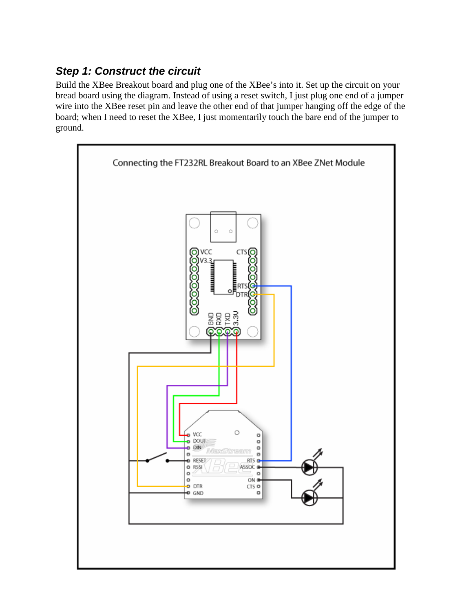### **Step 1: Construct the circuit**

Build the XBee Breakout board and plug one of the XBee's into it. Set up the circuit on your bread board using the diagram. Instead of using a reset switch, I just plug one end of a jumper wire into the XBee reset pin and leave the other end of that jumper hanging off the edge of the board; when I need to reset the XBee, I just momentarily touch the bare end of the jumper to ground.

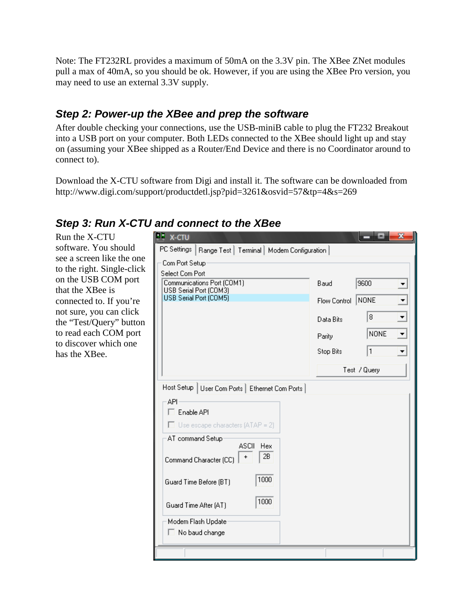Note: The FT232RL provides a maximum of 50mA on the 3.3V pin. The XBee ZNet modules pull a max of 40mA, so you should be ok. However, if you are using the XBee Pro version, you may need to use an external 3.3V supply.

### **Step 2: Power-up the XBee and prep the software**

After double checking your connections, use the USB-miniB cable to plug the FT232 Breakout into a USB port on your computer. Both LEDs connected to the XBee should light up and stay on (assuming your XBee shipped as a Router/End Device and there is no Coordinator around to connect to).

Download the X-CTU software from Digi and install it. The software can be downloaded from http://www.digi.com/support/productdetl.jsp?pid=3261&osvid=57&tp=4&s=269

#### **Step 3: Run X-CTU and connect to the XBee**

Run the X-CTU software. You should see a screen like the one to the right. Single-click on the USB COM port that the XBee is connected to. If you're not sure, you can click the "Test/Query" button to read each COM port to discover which one has the XBee.

| PC Settings   Range Test   Terminal   Modem Configuration                                                                                                                                                                                       |              |              |                          |  |  |
|-------------------------------------------------------------------------------------------------------------------------------------------------------------------------------------------------------------------------------------------------|--------------|--------------|--------------------------|--|--|
| Com Port Setup                                                                                                                                                                                                                                  |              |              |                          |  |  |
| Select Com Port<br>Communications Port (COM1)<br>USB Serial Port (COM3)                                                                                                                                                                         | Baud         | 9600         |                          |  |  |
| USB Serial Port (COM5)                                                                                                                                                                                                                          | Flow Control | NONE         |                          |  |  |
|                                                                                                                                                                                                                                                 | Data Bits    | 8            | $\overline{ }$           |  |  |
|                                                                                                                                                                                                                                                 | Parity       | <b>NONE</b>  | $\overline{\phantom{a}}$ |  |  |
|                                                                                                                                                                                                                                                 | Stop Bits    | 1            |                          |  |  |
|                                                                                                                                                                                                                                                 |              | Test / Query |                          |  |  |
| API-<br>$\Box$ Enable API<br>$\Box$ Use escape characters (ATAP = 2)<br>AT command Setup<br><b>ASCII</b><br><b>Hex</b><br>2B<br>Command Character (CC)<br>1000<br>Guard Time Before (BT)<br>1000<br>Guard Time After (AT)<br>Modem Flash Update |              |              |                          |  |  |
| $\Box$ No baud change                                                                                                                                                                                                                           |              |              |                          |  |  |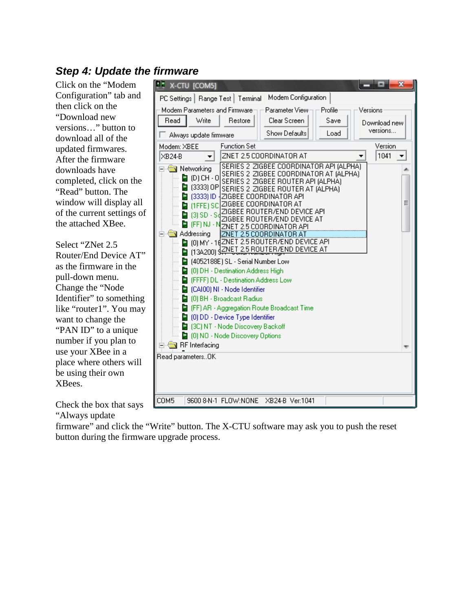### **Step 4: Update the firmware**

Click on the "Modem Configuration" tab and then click on the "Download new versions…" button to download all of the updated firmwares. After the firmware downloads have completed, click on the "Read" button. The window will display all of the current settings of the attached XBee.

Select "ZNet 2.5 Router/End Device AT" as the firmware in the pull-down menu. Change the "Node Identifier" to something like "router1". You may want to change the "PAN ID" to a unique number if you plan to use your XBee in a place where others will be using their own XBees.



Check the box that says

"Always update

firmware" and click the "Write" button. The X-CTU software may ask you to push the reset button during the firmware upgrade process.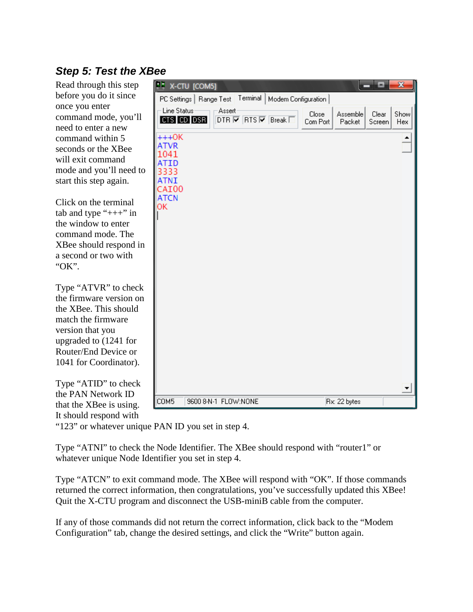# **Step 5: Test the XBee**

Read through this step before you do it since once you enter command mode, you'll need to enter a new command within 5 seconds or the XBee will exit command mode and you'll need to start this step again.

Click on the terminal tab and type " $++$ " in the window to enter command mode. The XBee should respond in a second or two with "OK".

Type "ATVR" to check the firmware version on the XBee. This should match the firmware version that you upgraded to (1241 for Router/End Device or 1041 for Coordinator).

Type "ATID" to check the PAN Network ID that the XBee is using. It should respond with

|                                                                                      | <b>ALL X-CTU [COM5]</b>  |        |          |                                                                            |                   |                    |                 | $\overline{\mathbf{x}}$ |
|--------------------------------------------------------------------------------------|--------------------------|--------|----------|----------------------------------------------------------------------------|-------------------|--------------------|-----------------|-------------------------|
|                                                                                      | PC Settings   Range Test |        | Terminal | Modem Configuration                                                        |                   |                    |                 |                         |
| Line Status                                                                          | CTS CD DSR               | Assert |          | DTR $\overline{\triangledown}$ RTS $\overline{\triangledown}$ Break $\Box$ | Close<br>Com Port | Assemble<br>Packet | Clear<br>Screen | Show<br>Hex             |
| $+++OK$<br>ATVR<br>1041<br>ATID<br>3333<br>ATNI<br><b>CAI00</b><br><b>ATCN</b><br>OΚ |                          |        |          |                                                                            |                   |                    |                 |                         |
| COM5                                                                                 | 9600 8-N-1 FLOW:NONE     |        |          |                                                                            |                   | Rx: 22 bytes       |                 |                         |
|                                                                                      |                          |        |          |                                                                            |                   |                    |                 |                         |

"123" or whatever unique PAN ID you set in step 4.

Type "ATNI" to check the Node Identifier. The XBee should respond with "router1" or whatever unique Node Identifier you set in step 4.

Type "ATCN" to exit command mode. The XBee will respond with "OK". If those commands returned the correct information, then congratulations, you've successfully updated this XBee! Quit the X-CTU program and disconnect the USB-miniB cable from the computer.

If any of those commands did not return the correct information, click back to the "Modem Configuration" tab, change the desired settings, and click the "Write" button again.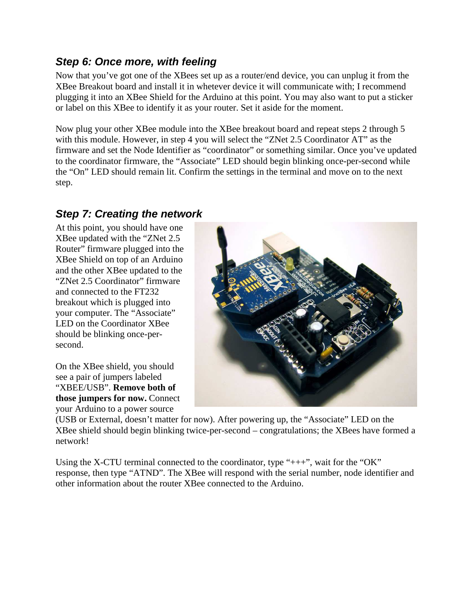#### **Step 6: Once more, with feeling**

Now that you've got one of the XBees set up as a router/end device, you can unplug it from the XBee Breakout board and install it in whetever device it will communicate with; I recommend plugging it into an XBee Shield for the Arduino at this point. You may also want to put a sticker or label on this XBee to identify it as your router. Set it aside for the moment.

Now plug your other XBee module into the XBee breakout board and repeat steps 2 through 5 with this module. However, in step 4 you will select the "ZNet 2.5 Coordinator AT" as the firmware and set the Node Identifier as "coordinator" or something similar. Once you've updated to the coordinator firmware, the "Associate" LED should begin blinking once-per-second while the "On" LED should remain lit. Confirm the settings in the terminal and move on to the next step.

### **Step 7: Creating the network**

At this point, you should have one XBee updated with the "ZNet 2.5 Router" firmware plugged into the XBee Shield on top of an Arduino and the other XBee updated to the "ZNet 2.5 Coordinator" firmware and connected to the FT232 breakout which is plugged into your computer. The "Associate" LED on the Coordinator XBee should be blinking once-persecond.

On the XBee shield, you should see a pair of jumpers labeled "XBEE/USB". **Remove both of those jumpers for now.** Connect your Arduino to a power source



(USB or External, doesn't matter for now). After powering up, the "Associate" LED on the XBee shield should begin blinking twice-per-second – congratulations; the XBees have formed a network!

Using the X-CTU terminal connected to the coordinator, type " $++$ ", wait for the "OK" response, then type "ATND". The XBee will respond with the serial number, node identifier and other information about the router XBee connected to the Arduino.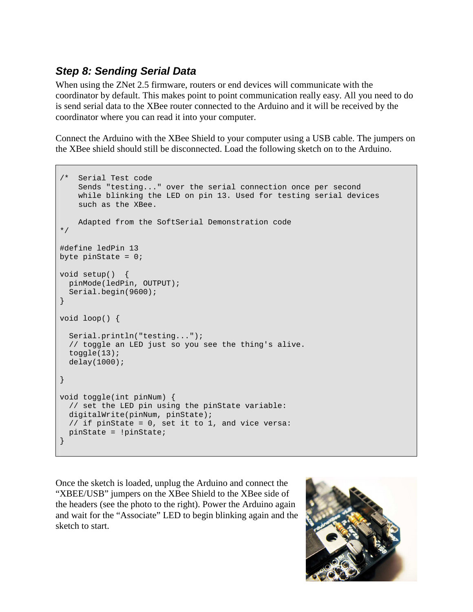### **Step 8: Sending Serial Data**

When using the ZNet 2.5 firmware, routers or end devices will communicate with the coordinator by default. This makes point to point communication really easy. All you need to do is send serial data to the XBee router connected to the Arduino and it will be received by the coordinator where you can read it into your computer.

Connect the Arduino with the XBee Shield to your computer using a USB cable. The jumpers on the XBee shield should still be disconnected. Load the following sketch on to the Arduino.

```
Serial Test code
    Sends "testing..." over the serial connection once per second 
    while blinking the LED on pin 13. Used for testing serial devices 
    such as the XBee. 
     Adapted from the SoftSerial Demonstration code 
*/ 
#define ledPin 13 
byte pinState = 0;
void setup() { 
  pinMode(ledPin, OUTPUT); 
  Serial.begin(9600); 
} 
void loop() { 
  Serial.println("testing..."); 
  // toggle an LED just so you see the thing's alive. 
  toggle(13); 
  delay(1000); 
} 
void toggle(int pinNum) { 
  // set the LED pin using the pinState variable: 
 digitalWrite(pinNum, pinState);
  // if pinState = 0, set it to 1, and vice versa: 
  pinState = !pinState; 
}
```
Once the sketch is loaded, unplug the Arduino and connect the "XBEE/USB" jumpers on the XBee Shield to the XBee side of the headers (see the photo to the right). Power the Arduino again and wait for the "Associate" LED to begin blinking again and the sketch to start.